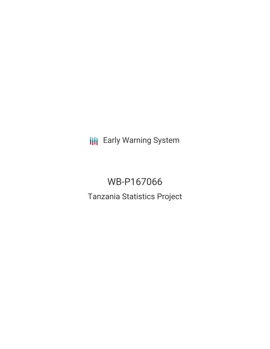**III** Early Warning System

WB-P167066 Tanzania Statistics Project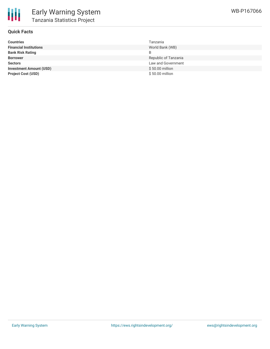

### **Quick Facts**

| <b>Countries</b>               | Tanzania             |
|--------------------------------|----------------------|
| <b>Financial Institutions</b>  | World Bank (WB)      |
| <b>Bank Risk Rating</b>        | B                    |
| <b>Borrower</b>                | Republic of Tanzania |
| <b>Sectors</b>                 | Law and Government   |
| <b>Investment Amount (USD)</b> | $$50.00$ million     |
| <b>Project Cost (USD)</b>      | \$50.00 million      |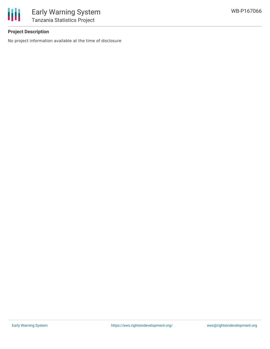



## **Project Description**

No project information available at the time of disclosure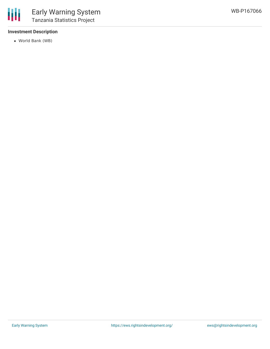#### **Investment Description**

World Bank (WB)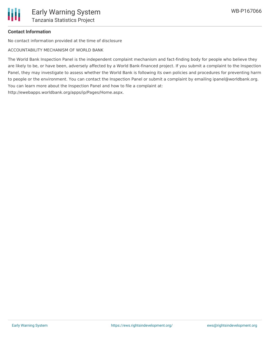# **Contact Information**

No contact information provided at the time of disclosure

ACCOUNTABILITY MECHANISM OF WORLD BANK

The World Bank Inspection Panel is the independent complaint mechanism and fact-finding body for people who believe they are likely to be, or have been, adversely affected by a World Bank-financed project. If you submit a complaint to the Inspection Panel, they may investigate to assess whether the World Bank is following its own policies and procedures for preventing harm to people or the environment. You can contact the Inspection Panel or submit a complaint by emailing ipanel@worldbank.org. You can learn more about the Inspection Panel and how to file a complaint at: http://ewebapps.worldbank.org/apps/ip/Pages/Home.aspx.